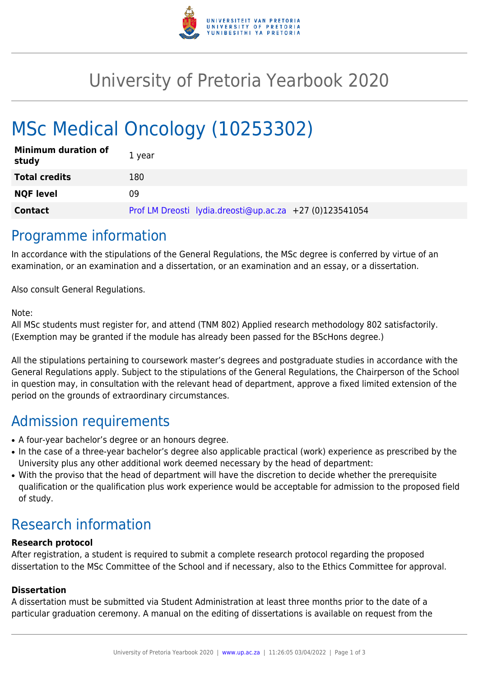

## University of Pretoria Yearbook 2020

# MSc Medical Oncology (10253302)

| <b>Minimum duration of</b><br>study | 1 year                                                  |
|-------------------------------------|---------------------------------------------------------|
| <b>Total credits</b>                | 180                                                     |
| <b>NQF level</b>                    | 09                                                      |
| <b>Contact</b>                      | Prof LM Dreosti lydia.dreosti@up.ac.za +27 (0)123541054 |

### Programme information

In accordance with the stipulations of the General Regulations, the MSc degree is conferred by virtue of an examination, or an examination and a dissertation, or an examination and an essay, or a dissertation.

Also consult General Regulations.

#### Note:

All MSc students must register for, and attend (TNM 802) Applied research methodology 802 satisfactorily. (Exemption may be granted if the module has already been passed for the BScHons degree.)

All the stipulations pertaining to coursework master's degrees and postgraduate studies in accordance with the General Regulations apply. Subject to the stipulations of the General Regulations, the Chairperson of the School in question may, in consultation with the relevant head of department, approve a fixed limited extension of the period on the grounds of extraordinary circumstances.

### Admission requirements

- A four-year bachelor's degree or an honours degree.
- In the case of a three-year bachelor's degree also applicable practical (work) experience as prescribed by the University plus any other additional work deemed necessary by the head of department:
- With the proviso that the head of department will have the discretion to decide whether the prerequisite qualification or the qualification plus work experience would be acceptable for admission to the proposed field of study.

### Research information

#### **Research protocol**

After registration, a student is required to submit a complete research protocol regarding the proposed dissertation to the MSc Committee of the School and if necessary, also to the Ethics Committee for approval.

#### **Dissertation**

A dissertation must be submitted via Student Administration at least three months prior to the date of a particular graduation ceremony. A manual on the editing of dissertations is available on request from the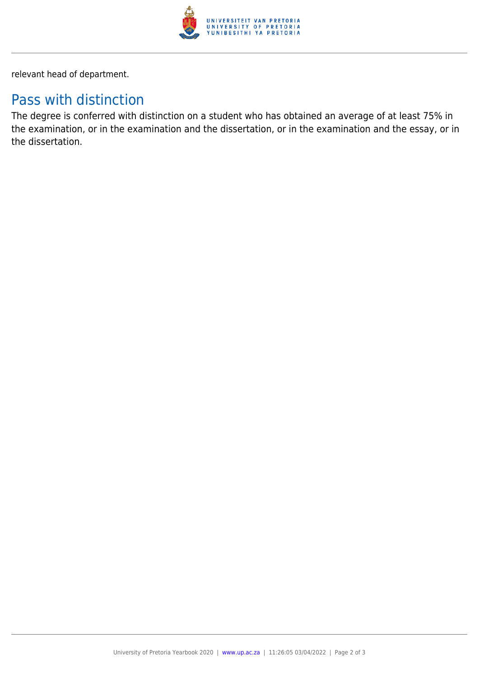

relevant head of department.

### Pass with distinction

The degree is conferred with distinction on a student who has obtained an average of at least 75% in the examination, or in the examination and the dissertation, or in the examination and the essay, or in the dissertation.